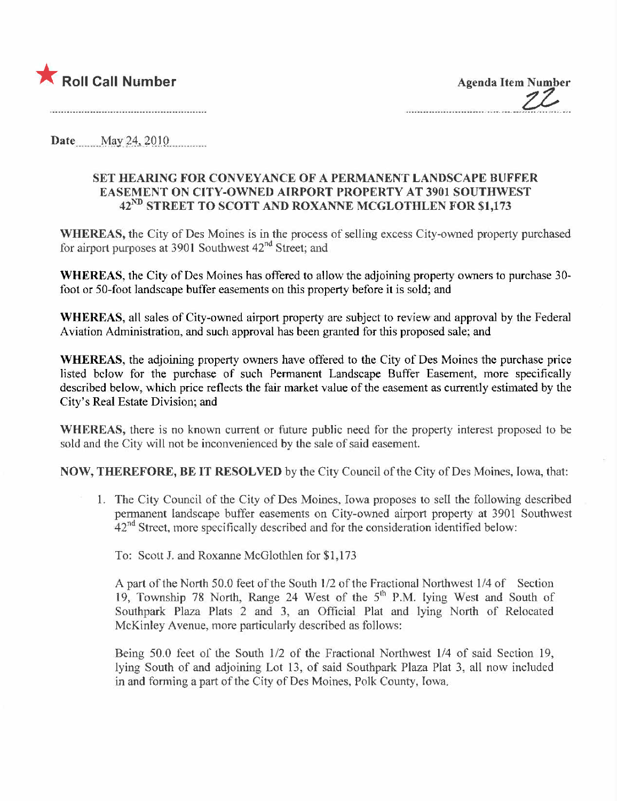

**Agenda Item Number** 

**Date** ...May 24, 2010

## SET HEARING FOR CONVEYANCE OF A PERMANENT LANDSCAPE BUFFER EASEMENT ON CITY-OWNED AIRPORT PROPERTY AT 3901 SOUTHWEST 42<sup>ND</sup> STREET TO SCOTT AND ROXANNE MCGLOTHLEN FOR \$1,173

WHEREAS, the City of Des Moines is in the process of selling excess City-owned property purchased for airport purposes at 3901 Southwest 42<sup>nd</sup> Street; and

WHEREAS, the City of Des Moines has offered to allow the adjoining property owners to purchase 30foot or 50-foot landscape buffer easements on this property before it is sold; and

WHEREAS, all sales of City-owned airport property are subject to review and approval by the Federal Aviation Administration, and such approval has been granted for this proposed sale; and

WHEREAS, the adjoining property owners have offered to the City of Des Moines the purchase price listed below for the purchase of such Permanent Landscape Buffer Easement, more specifically described below, which price reflects the fair market value of the easement as currently estimated by the City's Real Estate Division; and

WHEREAS, there is no known current or future public need for the property interest proposed to be sold and the City will not be inconvenienced by the sale of said easement.

NOW, THEREFORE, BE IT RESOLVED by the City Council of the City of Des Moines, Iowa, that:

1. The City Council of the City of Des Moines, Iowa proposes to sell the following described permanent landscape buffer easements on City-owned airport property at 3901 Southwest  $42<sup>nd</sup>$  Street, more specifically described and for the consideration identified below:

To: Scott J. and Roxanne McGlothlen for \$1,173

A part of the North 50.0 feet of the South 1/2 of the Fractional Northwest 1/4 of Section 19, Township 78 North, Range 24 West of the 5<sup>th</sup> P.M. lying West and South of Southpark Plaza Plats 2 and 3, an Official Plat and lying North of Relocated McKinley Avenue, more particularly described as follows:

Being 50.0 feet of the South 1/2 of the Fractional Northwest 1/4 of said Section 19, lying South of and adjoining Lot 13, of said Southpark Plaza Plat 3, all now included in and forming a part of the City of Des Moines, Polk County, Iowa.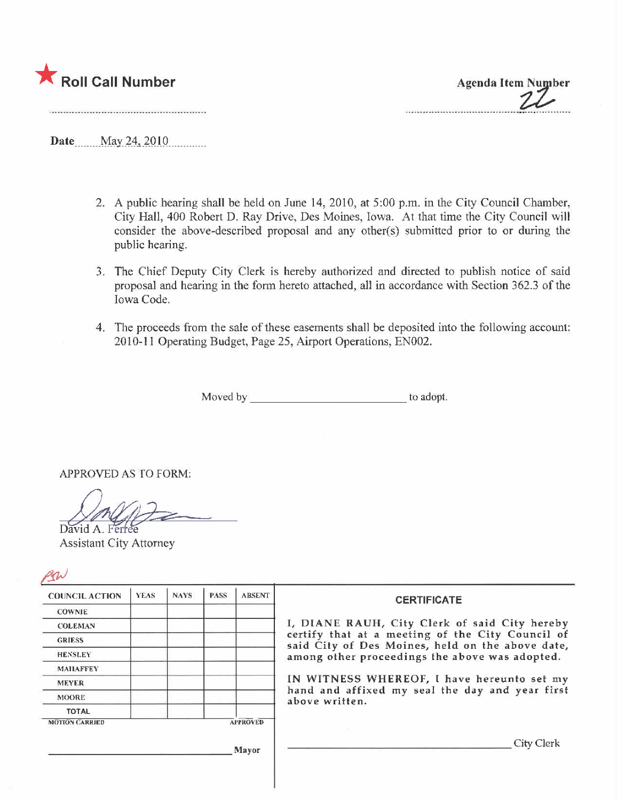

Date May 24, 2010

- 2. A public hearing shall be held on June 14,2010, at 5:00 p.m. in the City Council Chamber, City Hall, 400 Robert D. Ray Drive, Des Moines, Iowa. At that time the City Council wil consider the above-described proposal and any other(s) submitted prior to or during the public hearing.
- 3. The Chief Deputy City Clerk is hereby authorized and directed to publish notice of said proposal and hearing in the form hereto attached, all in accordance with Section 362.3 of the Iowa Code.
- 4. The proceeds from the sale of these easements shall be deposited into the following account: 2010-11 Operating Budget, Page 25, Airport Operations, EN002.

Moved by \_\_\_\_\_\_\_\_\_\_\_\_\_\_\_\_\_\_\_\_\_\_\_\_\_\_\_\_\_\_\_\_\_ to adopt.

APPROVED AS TO FORM;

David A. Ferfee

| <b>COUNCIL ACTION</b> | <b>YEAS</b> | <b>NAYS</b> | <b>PASS</b> | <b>ABSENT</b>   | <b>CERTIFICATE</b>                                                                                   |  |  |
|-----------------------|-------------|-------------|-------------|-----------------|------------------------------------------------------------------------------------------------------|--|--|
| <b>COWNIE</b>         |             |             |             |                 | I, DIANE RAUH, City Clerk of said City hereby                                                        |  |  |
| <b>COLEMAN</b>        |             |             |             |                 |                                                                                                      |  |  |
| <b>GRIESS</b>         |             |             |             |                 | certify that at a meeting of the City Council of<br>said City of Des Moines, held on the above date, |  |  |
| <b>HENSLEY</b>        |             |             |             |                 | among other proceedings the above was adopted.                                                       |  |  |
| <b>MAILAFFEY</b>      |             |             |             |                 |                                                                                                      |  |  |
| <b>MEYER</b>          |             |             |             |                 | IN WITNESS WHEREOF, I have hereunto set my                                                           |  |  |
| <b>MOORE</b>          |             |             |             |                 | hand and affixed my seal the day and year first<br>above written.                                    |  |  |
| <b>TOTAL</b>          |             |             |             |                 |                                                                                                      |  |  |
| <b>MOTION CARRIED</b> |             |             |             | <b>APPROVED</b> |                                                                                                      |  |  |
|                       |             |             |             | Mayor           | City Clerk                                                                                           |  |  |